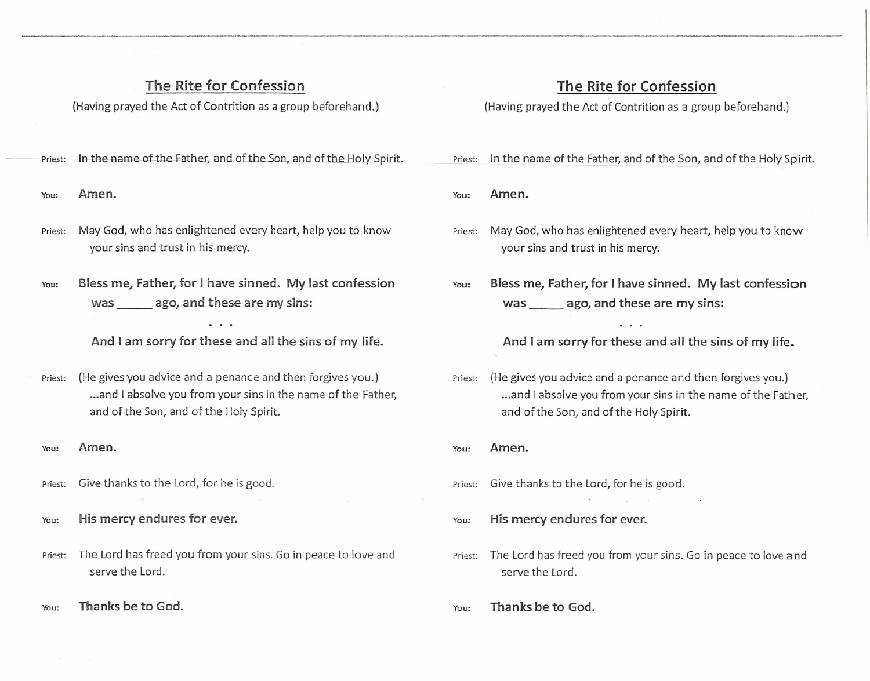## The Rite for Confession

(Having prayed the Act of Contrition as a group beforehand.)

Priest: In the name of the Father, and of the Son, and of the Holy Spirit.

You: Amen.

- Priest: May God, who has enlightened every heart, help you to know your sins and trust in his mercy.
- You: Bless me, Father, for Ihave sinned. My last confession was ago, and these are my sins:

And Iam sorry for these and all the sins of my life.

Priest: (He gives you advice and a penance and then forgives you.) ...and I absolve you from your sins in the name of the Father, and ofthe Son, and of the Holy Spirit.

You: Amen.

- Priest: Give thanks to the Lord, for he is good.
- You: His mercy endures for ever.
- Priest: The Lord has freed you from your sins. Go in peace to love and serve the Lord.
- You: Thanks be to God.

## The Rite for Confession

(Having prayed the Act of Contrition as a group beforehand.)

Priest: In the name of the Father, and of the Son, and of the Holy Spirit.

You: Amen.

- Priest: May God, who has enlightened every heart, help you to know your sins and trust in his mercy.
- You: Bless me, Father, for Ihave sinned. My last confession was ago, and these are my sins:

And I am sorry for these and all the sins of my life.

- Priest: (He gives you advice and a penance and then forgives you.) ...and I absolve you from your sins in the name of the Father. and ofthe Son, and of the Holy Spirit.
- You: Amen.
- Priest: Give thanks to the Lord, for he is good.

You: His mercy endures for ever.

Priest: The Lord has freed you from your sins. Go in peace to love and serve the Lord.

You: Thanks be to God.